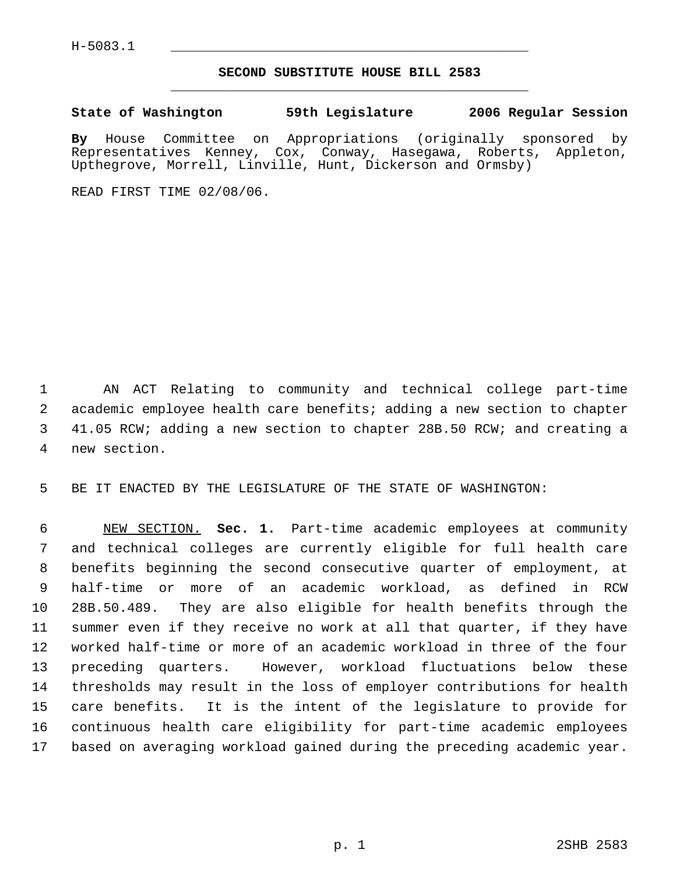## **SECOND SUBSTITUTE HOUSE BILL 2583** \_\_\_\_\_\_\_\_\_\_\_\_\_\_\_\_\_\_\_\_\_\_\_\_\_\_\_\_\_\_\_\_\_\_\_\_\_\_\_\_\_\_\_\_\_

**State of Washington 59th Legislature 2006 Regular Session**

**By** House Committee on Appropriations (originally sponsored by Representatives Kenney, Cox, Conway, Hasegawa, Roberts, Appleton, Upthegrove, Morrell, Linville, Hunt, Dickerson and Ormsby)

READ FIRST TIME 02/08/06.

 AN ACT Relating to community and technical college part-time academic employee health care benefits; adding a new section to chapter 41.05 RCW; adding a new section to chapter 28B.50 RCW; and creating a new section.

BE IT ENACTED BY THE LEGISLATURE OF THE STATE OF WASHINGTON:

 NEW SECTION. **Sec. 1.** Part-time academic employees at community and technical colleges are currently eligible for full health care benefits beginning the second consecutive quarter of employment, at half-time or more of an academic workload, as defined in RCW 28B.50.489. They are also eligible for health benefits through the summer even if they receive no work at all that quarter, if they have worked half-time or more of an academic workload in three of the four preceding quarters. However, workload fluctuations below these thresholds may result in the loss of employer contributions for health care benefits. It is the intent of the legislature to provide for continuous health care eligibility for part-time academic employees based on averaging workload gained during the preceding academic year.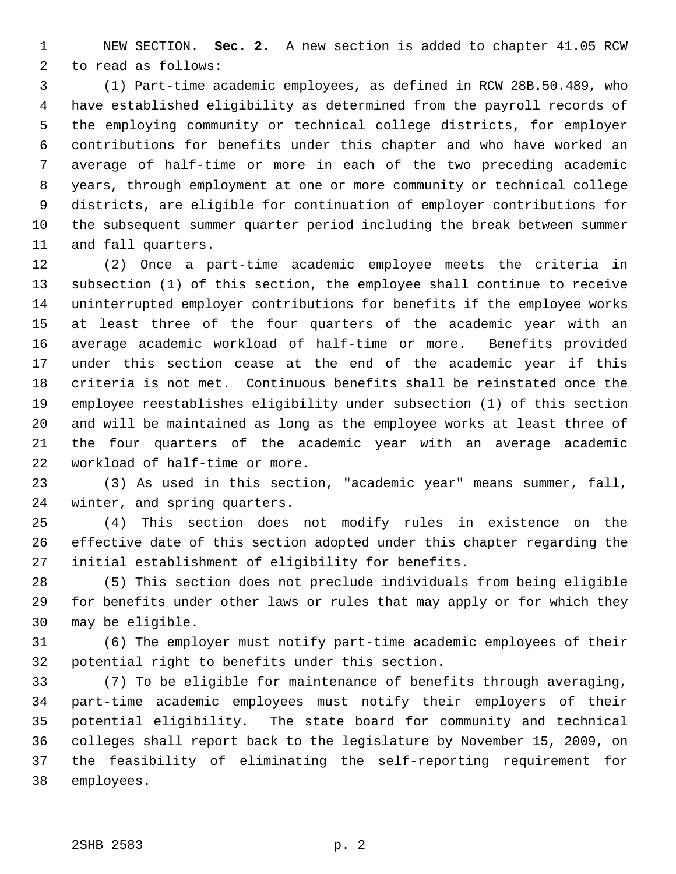NEW SECTION. **Sec. 2.** A new section is added to chapter 41.05 RCW to read as follows:

 (1) Part-time academic employees, as defined in RCW 28B.50.489, who have established eligibility as determined from the payroll records of the employing community or technical college districts, for employer contributions for benefits under this chapter and who have worked an average of half-time or more in each of the two preceding academic years, through employment at one or more community or technical college districts, are eligible for continuation of employer contributions for the subsequent summer quarter period including the break between summer and fall quarters.

 (2) Once a part-time academic employee meets the criteria in subsection (1) of this section, the employee shall continue to receive uninterrupted employer contributions for benefits if the employee works at least three of the four quarters of the academic year with an average academic workload of half-time or more. Benefits provided under this section cease at the end of the academic year if this criteria is not met. Continuous benefits shall be reinstated once the employee reestablishes eligibility under subsection (1) of this section and will be maintained as long as the employee works at least three of the four quarters of the academic year with an average academic workload of half-time or more.

 (3) As used in this section, "academic year" means summer, fall, winter, and spring quarters.

 (4) This section does not modify rules in existence on the effective date of this section adopted under this chapter regarding the initial establishment of eligibility for benefits.

 (5) This section does not preclude individuals from being eligible for benefits under other laws or rules that may apply or for which they may be eligible.

 (6) The employer must notify part-time academic employees of their potential right to benefits under this section.

 (7) To be eligible for maintenance of benefits through averaging, part-time academic employees must notify their employers of their potential eligibility. The state board for community and technical colleges shall report back to the legislature by November 15, 2009, on the feasibility of eliminating the self-reporting requirement for employees.